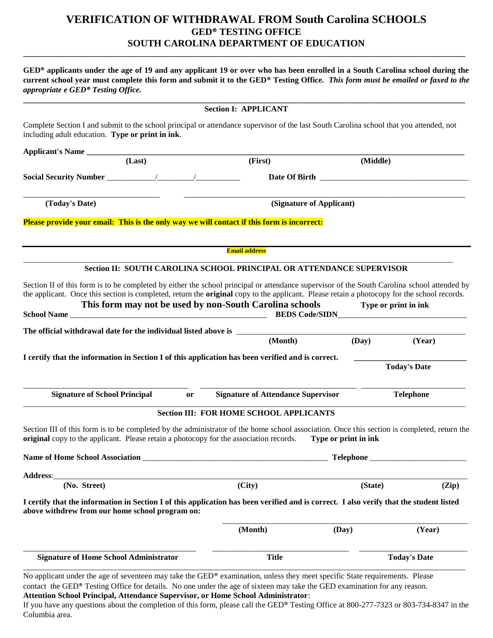## **VERIFICATION OF WITHDRAWAL FROM South Carolina SCHOOLS GED® TESTING OFFICE SOUTH CAROLINA DEPARTMENT OF EDUCATION**

**GED® applicants under the age of 19 and any applicant 19 or over who has been enrolled in a South Carolina school during the current school year must complete this form and submit it to the GED® Testing Office.** *This form must be emailed or faxed to the appropriate e GED® Testing Office.*

**\_\_\_\_\_\_\_\_\_\_\_\_\_\_\_\_\_\_\_\_\_\_\_\_\_\_\_\_\_\_\_\_\_\_\_\_\_\_\_\_\_\_\_\_\_\_\_\_\_\_\_\_\_\_\_\_\_\_\_\_\_\_\_\_\_\_\_\_\_\_\_\_\_\_\_\_\_\_\_\_\_\_\_\_\_\_\_\_\_\_\_\_\_\_\_\_\_\_\_\_\_\_\_\_\_\_\_\_\_\_**

|                                                 | <b>Section I: APPLICANT</b>                                                                                                             |                                                                                        |                                                                                                                                                                                                                                                                                                                                                                                                                                                                                                                                                                                                                                                                                                                                                                                                                                                                                                                                                                                                                                                          |  |
|-------------------------------------------------|-----------------------------------------------------------------------------------------------------------------------------------------|----------------------------------------------------------------------------------------|----------------------------------------------------------------------------------------------------------------------------------------------------------------------------------------------------------------------------------------------------------------------------------------------------------------------------------------------------------------------------------------------------------------------------------------------------------------------------------------------------------------------------------------------------------------------------------------------------------------------------------------------------------------------------------------------------------------------------------------------------------------------------------------------------------------------------------------------------------------------------------------------------------------------------------------------------------------------------------------------------------------------------------------------------------|--|
|                                                 |                                                                                                                                         |                                                                                        |                                                                                                                                                                                                                                                                                                                                                                                                                                                                                                                                                                                                                                                                                                                                                                                                                                                                                                                                                                                                                                                          |  |
|                                                 |                                                                                                                                         |                                                                                        |                                                                                                                                                                                                                                                                                                                                                                                                                                                                                                                                                                                                                                                                                                                                                                                                                                                                                                                                                                                                                                                          |  |
|                                                 | (First)                                                                                                                                 |                                                                                        | (Middle)                                                                                                                                                                                                                                                                                                                                                                                                                                                                                                                                                                                                                                                                                                                                                                                                                                                                                                                                                                                                                                                 |  |
|                                                 |                                                                                                                                         |                                                                                        |                                                                                                                                                                                                                                                                                                                                                                                                                                                                                                                                                                                                                                                                                                                                                                                                                                                                                                                                                                                                                                                          |  |
|                                                 | (Signature of Applicant)                                                                                                                |                                                                                        |                                                                                                                                                                                                                                                                                                                                                                                                                                                                                                                                                                                                                                                                                                                                                                                                                                                                                                                                                                                                                                                          |  |
|                                                 |                                                                                                                                         |                                                                                        |                                                                                                                                                                                                                                                                                                                                                                                                                                                                                                                                                                                                                                                                                                                                                                                                                                                                                                                                                                                                                                                          |  |
|                                                 | <b>Email address</b>                                                                                                                    |                                                                                        |                                                                                                                                                                                                                                                                                                                                                                                                                                                                                                                                                                                                                                                                                                                                                                                                                                                                                                                                                                                                                                                          |  |
|                                                 |                                                                                                                                         |                                                                                        |                                                                                                                                                                                                                                                                                                                                                                                                                                                                                                                                                                                                                                                                                                                                                                                                                                                                                                                                                                                                                                                          |  |
|                                                 |                                                                                                                                         |                                                                                        | Type or print in ink                                                                                                                                                                                                                                                                                                                                                                                                                                                                                                                                                                                                                                                                                                                                                                                                                                                                                                                                                                                                                                     |  |
|                                                 |                                                                                                                                         |                                                                                        |                                                                                                                                                                                                                                                                                                                                                                                                                                                                                                                                                                                                                                                                                                                                                                                                                                                                                                                                                                                                                                                          |  |
|                                                 | (Month)                                                                                                                                 | (Day)                                                                                  | (Year)                                                                                                                                                                                                                                                                                                                                                                                                                                                                                                                                                                                                                                                                                                                                                                                                                                                                                                                                                                                                                                                   |  |
|                                                 |                                                                                                                                         |                                                                                        | <b>Today's Date</b>                                                                                                                                                                                                                                                                                                                                                                                                                                                                                                                                                                                                                                                                                                                                                                                                                                                                                                                                                                                                                                      |  |
| or                                              |                                                                                                                                         |                                                                                        | <b>Telephone</b>                                                                                                                                                                                                                                                                                                                                                                                                                                                                                                                                                                                                                                                                                                                                                                                                                                                                                                                                                                                                                                         |  |
|                                                 |                                                                                                                                         |                                                                                        |                                                                                                                                                                                                                                                                                                                                                                                                                                                                                                                                                                                                                                                                                                                                                                                                                                                                                                                                                                                                                                                          |  |
|                                                 |                                                                                                                                         |                                                                                        |                                                                                                                                                                                                                                                                                                                                                                                                                                                                                                                                                                                                                                                                                                                                                                                                                                                                                                                                                                                                                                                          |  |
|                                                 |                                                                                                                                         | <b>Telephone</b>                                                                       |                                                                                                                                                                                                                                                                                                                                                                                                                                                                                                                                                                                                                                                                                                                                                                                                                                                                                                                                                                                                                                                          |  |
|                                                 |                                                                                                                                         |                                                                                        |                                                                                                                                                                                                                                                                                                                                                                                                                                                                                                                                                                                                                                                                                                                                                                                                                                                                                                                                                                                                                                                          |  |
|                                                 |                                                                                                                                         |                                                                                        | (State)<br>(Zip)                                                                                                                                                                                                                                                                                                                                                                                                                                                                                                                                                                                                                                                                                                                                                                                                                                                                                                                                                                                                                                         |  |
|                                                 | (City)                                                                                                                                  |                                                                                        |                                                                                                                                                                                                                                                                                                                                                                                                                                                                                                                                                                                                                                                                                                                                                                                                                                                                                                                                                                                                                                                          |  |
| above withdrew from our home school program on: | I certify that the information in Section I of this application has been verified and is correct. I also verify that the student listed |                                                                                        |                                                                                                                                                                                                                                                                                                                                                                                                                                                                                                                                                                                                                                                                                                                                                                                                                                                                                                                                                                                                                                                          |  |
|                                                 | (Month)                                                                                                                                 | (Day)                                                                                  | (Year)                                                                                                                                                                                                                                                                                                                                                                                                                                                                                                                                                                                                                                                                                                                                                                                                                                                                                                                                                                                                                                                   |  |
|                                                 | including adult education. Type or print in ink.                                                                                        | original copy to the applicant. Please retain a photocopy for the association records. | Complete Section I and submit to the school principal or attendance supervisor of the last South Carolina school that you attended, not<br>Please provide your email: This is the only way we will contact if this form is incorrect:<br>Section II: SOUTH CAROLINA SCHOOL PRINCIPAL OR ATTENDANCE SUPERVISOR<br>Section II of this form is to be completed by either the school principal or attendance supervisor of the South Carolina school attended by<br>the applicant. Once this section is completed, return the <b>original</b> copy to the applicant. Please retain a photocopy for the school records.<br>This form may not be used by non-South Carolina schools<br>I certify that the information in Section I of this application has been verified and is correct.<br><b>Signature of Attendance Supervisor</b><br><b>Section III: FOR HOME SCHOOL APPLICANTS</b><br>Section III of this form is to be completed by the administrator of the home school association. Once this section is completed, return the<br>Type or print in ink |  |

**Attention School Principal, Attendance Supervisor, or Home School Administrator**:

If you have any questions about the completion of this form, please call the GED® Testing Office at 800-277-7323 or 803-734-8347 in the Columbia area.